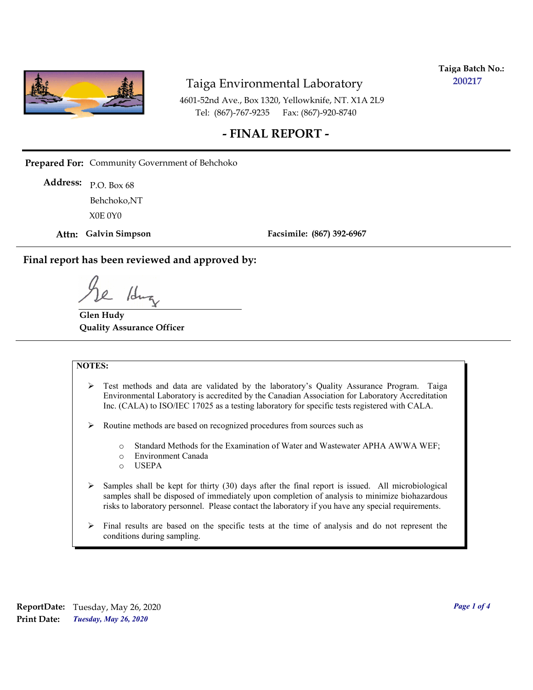

**Taiga Batch No.: 200217**

4601-52nd Ave., Box 1320, Yellowknife, NT. X1A 2L9 Tel: (867)-767-9235 Fax: (867)-920-8740

## **- FINAL REPORT -**

**Prepared For:** Community Government of Behchoko

P.O. Box 68 **Address:** X0E 0Y0 Behchoko,NT

**Attn: Galvin Simpson**

**Facsimile: (867) 392-6967**

**Final report has been reviewed and approved by:**

1dr

**Glen Hudy Quality Assurance Officer**

#### **NOTES:**

- $\triangleright$  Test methods and data are validated by the laboratory's Quality Assurance Program. Taiga Environmental Laboratory is accredited by the Canadian Association for Laboratory Accreditation Inc. (CALA) to ISO/IEC 17025 as a testing laboratory for specific tests registered with CALA.
- Routine methods are based on recognized procedures from sources such as
	- o Standard Methods for the Examination of Water and Wastewater APHA AWWA WEF;
	- o Environment Canada
	- o USEPA
- $\triangleright$  Samples shall be kept for thirty (30) days after the final report is issued. All microbiological samples shall be disposed of immediately upon completion of analysis to minimize biohazardous risks to laboratory personnel. Please contact the laboratory if you have any special requirements.
- $\triangleright$  Final results are based on the specific tests at the time of analysis and do not represent the conditions during sampling.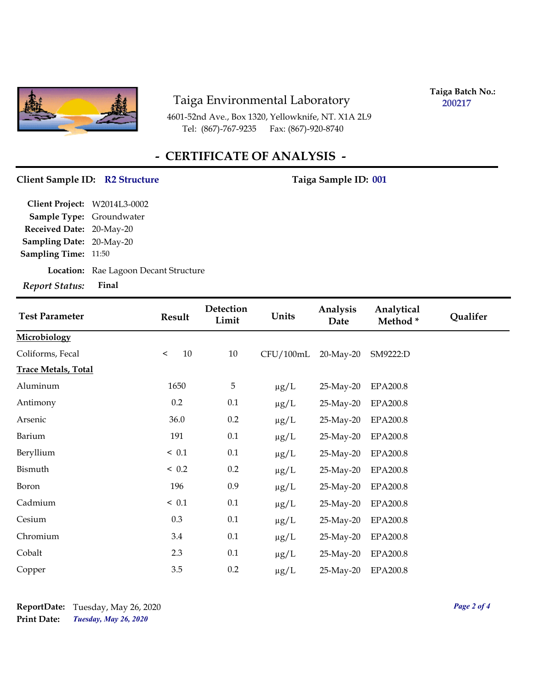

4601-52nd Ave., Box 1320, Yellowknife, NT. X1A 2L9 Tel: (867)-767-9235 Fax: (867)-920-8740

**Taiga Batch No.: 200217**

# **- CERTIFICATE OF ANALYSIS -**

#### Client Sample ID: R2 Structure Taiga Sample ID: 001

**Location:** Rae Lagoon Decant Structure **Sampling Date:** 20-May-20 **Received Date:** 20-May-20 **Client Project:** W2014L3-0002 **Sample Type:** Groundwater **Sampling Time:** 11:50 *Report Status:* **Final**

| <b>Test Parameter</b>      | Result        | Detection<br>Limit | Units     | Analysis<br>Date | Analytical<br>Method* | Qualifer |
|----------------------------|---------------|--------------------|-----------|------------------|-----------------------|----------|
| Microbiology               |               |                    |           |                  |                       |          |
| Coliforms, Fecal           | 10<br>$\,<\,$ | 10                 | CFU/100mL | $20$ -May- $20$  | SM9222:D              |          |
| <b>Trace Metals, Total</b> |               |                    |           |                  |                       |          |
| Aluminum                   | 1650          | $\sqrt{5}$         | $\mu g/L$ | 25-May-20        | <b>EPA200.8</b>       |          |
| Antimony                   | 0.2           | 0.1                | $\mu g/L$ | 25-May-20        | <b>EPA200.8</b>       |          |
| Arsenic                    | 36.0          | 0.2                | $\mu g/L$ | 25-May-20        | <b>EPA200.8</b>       |          |
| Barium                     | 191           | $0.1\,$            | $\mu g/L$ | 25-May-20        | <b>EPA200.8</b>       |          |
| Beryllium                  | ~< 0.1        | $0.1\,$            | $\mu g/L$ | 25-May-20        | <b>EPA200.8</b>       |          |
| Bismuth                    | < 0.2         | 0.2                | $\mu g/L$ | 25-May-20        | <b>EPA200.8</b>       |          |
| Boron                      | 196           | 0.9                | $\mu$ g/L | 25-May-20        | <b>EPA200.8</b>       |          |
| Cadmium                    | ~< 0.1        | $0.1\,$            | $\mu g/L$ | 25-May-20        | <b>EPA200.8</b>       |          |
| Cesium                     | 0.3           | $0.1\,$            | $\mu g/L$ | 25-May-20        | <b>EPA200.8</b>       |          |
| Chromium                   | 3.4           | 0.1                | $\mu g/L$ | 25-May-20        | <b>EPA200.8</b>       |          |
| Cobalt                     | 2.3           | 0.1                | $\mu$ g/L | 25-May-20        | <b>EPA200.8</b>       |          |
| Copper                     | 3.5           | $0.2\,$            | $\mu$ g/L | 25-May-20        | <b>EPA200.8</b>       |          |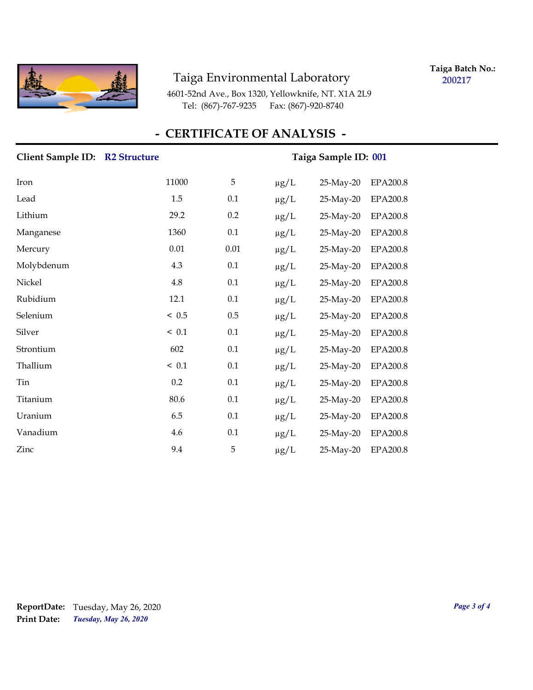

**Taiga Batch No.: 200217**

4601-52nd Ave., Box 1320, Yellowknife, NT. X1A 2L9 Tel: (867)-767-9235 Fax: (867)-920-8740

## **- CERTIFICATE OF ANALYSIS -**

# **Client Sample ID:** R2 Structure Taiga Sample ID: 001 Iron 11000 5 μg/L 25-May-20 EPA200.8 Lead 1.5 0.1 μg/L 25-May-20 EPA200.8 Lithium 29.2 0.2 µg/L 25-May-20 EPA200.8 Manganese 1360 0.1 µg/L 25-May-20 EPA200.8 Mercury 0.01 0.01 µg/L 25-May-20 EPA200.8 Molybdenum 4.3 0.1 µg/L 25-May-20 EPA200.8 Nickel 4.8 0.1 μg/L 25-May-20 EPA200.8 Rubidium 12.1 0.1 µg/L 25-May-20 EPA200.8 Selenium < 0.5 0.5 μg/L 25-May-20 EPA200.8 Silver < 0.1 0.1 µg/L 25-May-20 EPA200.8 Strontium 602 0.1 μg/L 25-May-20 EPA200.8 Thallium  $\leq 0.1$  0.1  $\mu$ g/L 25-May-20 EPA200.8 Tin 0.2 0.1 µg/L 25-May-20 EPA200.8 Titanium 80.6 0.1 µg/L 25-May-20 EPA200.8 Uranium 6.5 0.1 μg/L 25-May-20 EPA200.8 Vanadium 1.6 0.1 µg/L 25-May-20 EPA200.8 Zinc 9.4 5 µg/L 25-May-20 EPA200.8